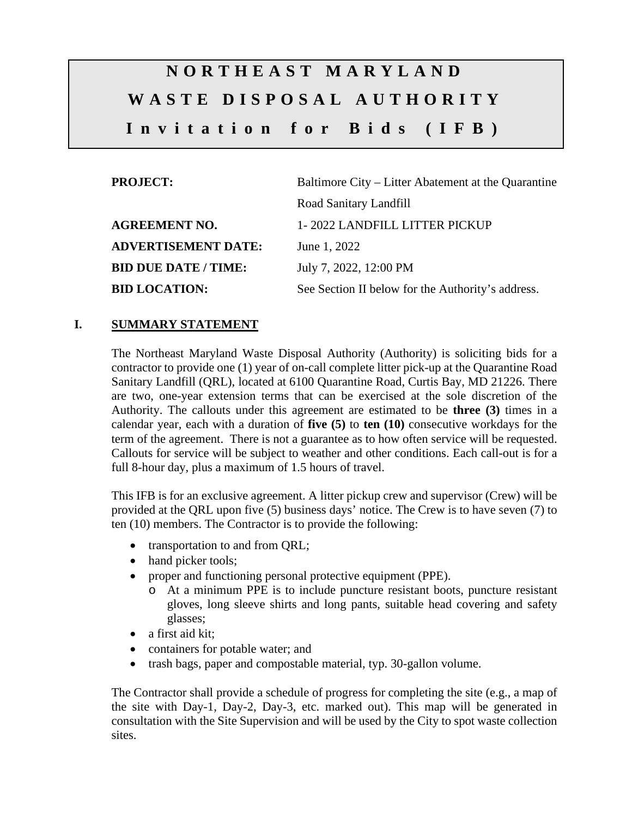# **NORTHEAST MARYLAND WASTE DISPOSAL AUTHORITY Invitation for Bids (IFB)**

| <b>PROJECT:</b>             | Baltimore City – Litter Abatement at the Quarantine |  |  |
|-----------------------------|-----------------------------------------------------|--|--|
|                             | Road Sanitary Landfill                              |  |  |
| <b>AGREEMENT NO.</b>        | 1-2022 LANDFILL LITTER PICKUP                       |  |  |
| <b>ADVERTISEMENT DATE:</b>  | June 1, 2022                                        |  |  |
| <b>BID DUE DATE / TIME:</b> | July 7, 2022, 12:00 PM                              |  |  |
| <b>BID LOCATION:</b>        | See Section II below for the Authority's address.   |  |  |

## **I. SUMMARY STATEMENT**

The Northeast Maryland Waste Disposal Authority (Authority) is soliciting bids for a contractor to provide one (1) year of on-call complete litter pick-up at the Quarantine Road Sanitary Landfill (QRL), located at 6100 Quarantine Road, Curtis Bay, MD 21226. There are two, one-year extension terms that can be exercised at the sole discretion of the Authority. The callouts under this agreement are estimated to be **three (3)** times in a calendar year, each with a duration of **five (5)** to **ten (10)** consecutive workdays for the term of the agreement. There is not a guarantee as to how often service will be requested. Callouts for service will be subject to weather and other conditions. Each call-out is for a full 8-hour day, plus a maximum of 1.5 hours of travel.

This IFB is for an exclusive agreement. A litter pickup crew and supervisor (Crew) will be provided at the QRL upon five (5) business days' notice. The Crew is to have seven (7) to ten (10) members. The Contractor is to provide the following:

- transportation to and from QRL;
- hand picker tools;
- proper and functioning personal protective equipment (PPE).
	- o At a minimum PPE is to include puncture resistant boots, puncture resistant gloves, long sleeve shirts and long pants, suitable head covering and safety glasses;
- a first aid kit:
- containers for potable water; and
- trash bags, paper and compostable material, typ. 30-gallon volume.

The Contractor shall provide a schedule of progress for completing the site (e.g., a map of the site with Day-1, Day-2, Day-3, etc. marked out). This map will be generated in consultation with the Site Supervision and will be used by the City to spot waste collection sites.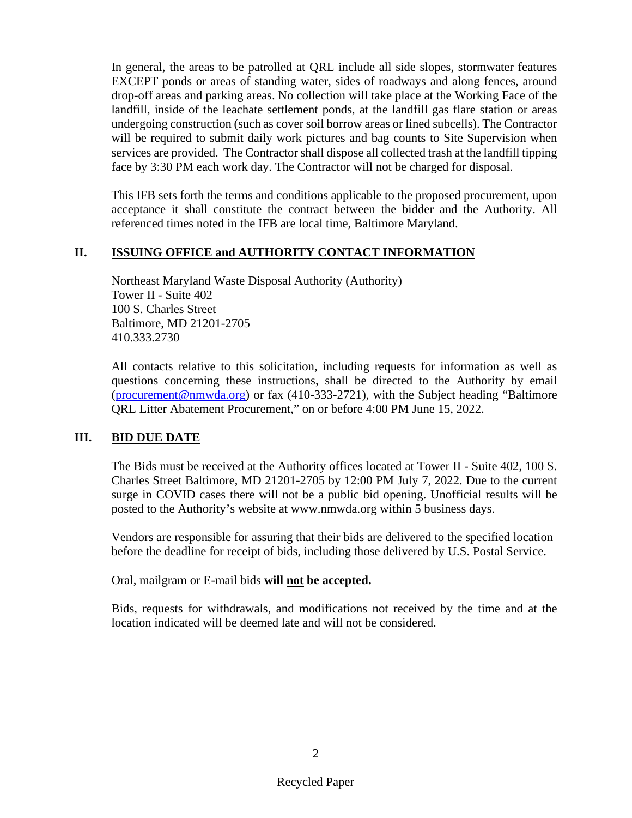In general, the areas to be patrolled at QRL include all side slopes, stormwater features EXCEPT ponds or areas of standing water, sides of roadways and along fences, around drop-off areas and parking areas. No collection will take place at the Working Face of the landfill, inside of the leachate settlement ponds, at the landfill gas flare station or areas undergoing construction (such as cover soil borrow areas or lined subcells). The Contractor will be required to submit daily work pictures and bag counts to Site Supervision when services are provided. The Contractor shall dispose all collected trash at the landfill tipping face by 3:30 PM each work day. The Contractor will not be charged for disposal.

This IFB sets forth the terms and conditions applicable to the proposed procurement, upon acceptance it shall constitute the contract between the bidder and the Authority. All referenced times noted in the IFB are local time, Baltimore Maryland.

#### **II. ISSUING OFFICE and AUTHORITY CONTACT INFORMATION**

Northeast Maryland Waste Disposal Authority (Authority) Tower II - Suite 402 100 S. Charles Street Baltimore, MD 21201-2705 410.333.2730

All contacts relative to this solicitation, including requests for information as well as questions concerning these instructions, shall be directed to the Authority by email [\(procurement@nmwda.org\)](mailto:procurement@nmwda.org) or fax (410-333-2721), with the Subject heading "Baltimore QRL Litter Abatement Procurement," on or before 4:00 PM June 15, 2022.

## **III. BID DUE DATE**

The Bids must be received at the Authority offices located at Tower II - Suite 402, 100 S. Charles Street Baltimore, MD 21201-2705 by 12:00 PM July 7, 2022. Due to the current surge in COVID cases there will not be a public bid opening. Unofficial results will be posted to the Authority's website at www.nmwda.org within 5 business days.

Vendors are responsible for assuring that their bids are delivered to the specified location before the deadline for receipt of bids, including those delivered by U.S. Postal Service.

Oral, mailgram or E-mail bids **will not be accepted.**

Bids, requests for withdrawals, and modifications not received by the time and at the location indicated will be deemed late and will not be considered.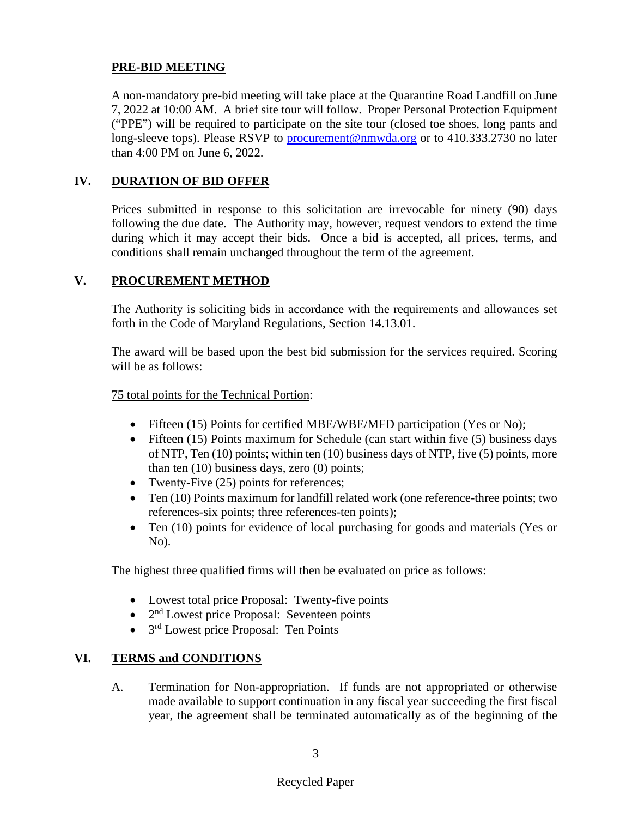#### **PRE-BID MEETING**

A non-mandatory pre-bid meeting will take place at the Quarantine Road Landfill on June 7, 2022 at 10:00 AM. A brief site tour will follow. Proper Personal Protection Equipment ("PPE") will be required to participate on the site tour (closed toe shoes, long pants and long-sleeve tops). Please RSVP to [procurement@nmwda.org](mailto:procurement@nmwda.org) or to 410.333.2730 no later than 4:00 PM on June 6, 2022.

## **IV. DURATION OF BID OFFER**

Prices submitted in response to this solicitation are irrevocable for ninety (90) days following the due date. The Authority may, however, request vendors to extend the time during which it may accept their bids. Once a bid is accepted, all prices, terms, and conditions shall remain unchanged throughout the term of the agreement.

#### **V. PROCUREMENT METHOD**

The Authority is soliciting bids in accordance with the requirements and allowances set forth in the Code of Maryland Regulations, Section 14.13.01.

The award will be based upon the best bid submission for the services required. Scoring will be as follows:

75 total points for the Technical Portion:

- Fifteen (15) Points for certified MBE/WBE/MFD participation (Yes or No);
- Fifteen (15) Points maximum for Schedule (can start within five (5) business days of NTP, Ten (10) points; within ten (10) business days of NTP, five (5) points, more than ten (10) business days, zero (0) points;
- Twenty-Five (25) points for references;
- Ten (10) Points maximum for landfill related work (one reference-three points; two references-six points; three references-ten points);
- Ten (10) points for evidence of local purchasing for goods and materials (Yes or No).

The highest three qualified firms will then be evaluated on price as follows:

- Lowest total price Proposal: Twenty-five points
- $\bullet$  2<sup>nd</sup> Lowest price Proposal: Seventeen points
- 3<sup>rd</sup> Lowest price Proposal: Ten Points

## **VI. TERMS and CONDITIONS**

A. Termination for Non-appropriation. If funds are not appropriated or otherwise made available to support continuation in any fiscal year succeeding the first fiscal year, the agreement shall be terminated automatically as of the beginning of the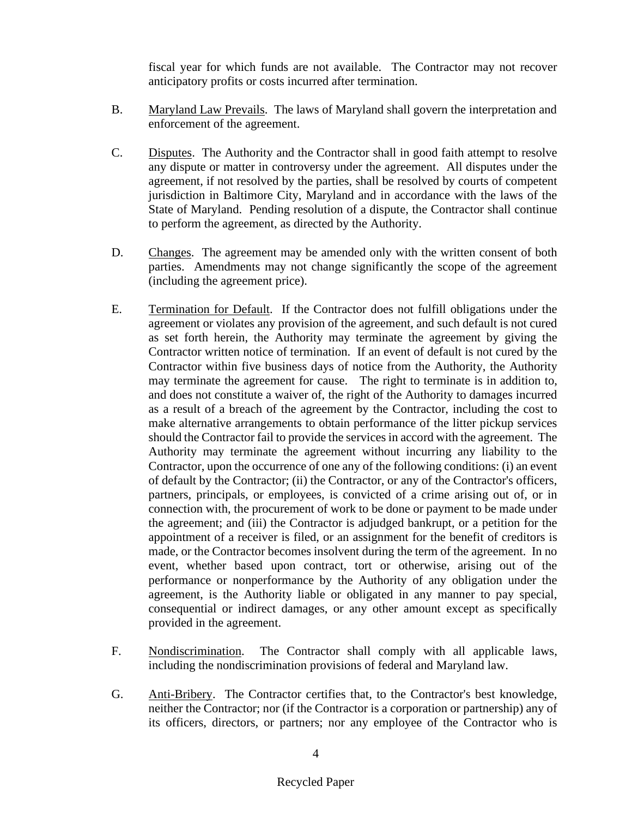fiscal year for which funds are not available. The Contractor may not recover anticipatory profits or costs incurred after termination.

- B. Maryland Law Prevails. The laws of Maryland shall govern the interpretation and enforcement of the agreement.
- C. Disputes. The Authority and the Contractor shall in good faith attempt to resolve any dispute or matter in controversy under the agreement. All disputes under the agreement, if not resolved by the parties, shall be resolved by courts of competent jurisdiction in Baltimore City, Maryland and in accordance with the laws of the State of Maryland. Pending resolution of a dispute, the Contractor shall continue to perform the agreement, as directed by the Authority.
- D. Changes. The agreement may be amended only with the written consent of both parties. Amendments may not change significantly the scope of the agreement (including the agreement price).
- E. Termination for Default. If the Contractor does not fulfill obligations under the agreement or violates any provision of the agreement, and such default is not cured as set forth herein, the Authority may terminate the agreement by giving the Contractor written notice of termination. If an event of default is not cured by the Contractor within five business days of notice from the Authority, the Authority may terminate the agreement for cause. The right to terminate is in addition to, and does not constitute a waiver of, the right of the Authority to damages incurred as a result of a breach of the agreement by the Contractor, including the cost to make alternative arrangements to obtain performance of the litter pickup services should the Contractor fail to provide the services in accord with the agreement. The Authority may terminate the agreement without incurring any liability to the Contractor, upon the occurrence of one any of the following conditions: (i) an event of default by the Contractor; (ii) the Contractor, or any of the Contractor's officers, partners, principals, or employees, is convicted of a crime arising out of, or in connection with, the procurement of work to be done or payment to be made under the agreement; and (iii) the Contractor is adjudged bankrupt, or a petition for the appointment of a receiver is filed, or an assignment for the benefit of creditors is made, or the Contractor becomes insolvent during the term of the agreement. In no event, whether based upon contract, tort or otherwise, arising out of the performance or nonperformance by the Authority of any obligation under the agreement, is the Authority liable or obligated in any manner to pay special, consequential or indirect damages, or any other amount except as specifically provided in the agreement.
- F. Nondiscrimination. The Contractor shall comply with all applicable laws, including the nondiscrimination provisions of federal and Maryland law.
- G. Anti-Bribery. The Contractor certifies that, to the Contractor's best knowledge, neither the Contractor; nor (if the Contractor is a corporation or partnership) any of its officers, directors, or partners; nor any employee of the Contractor who is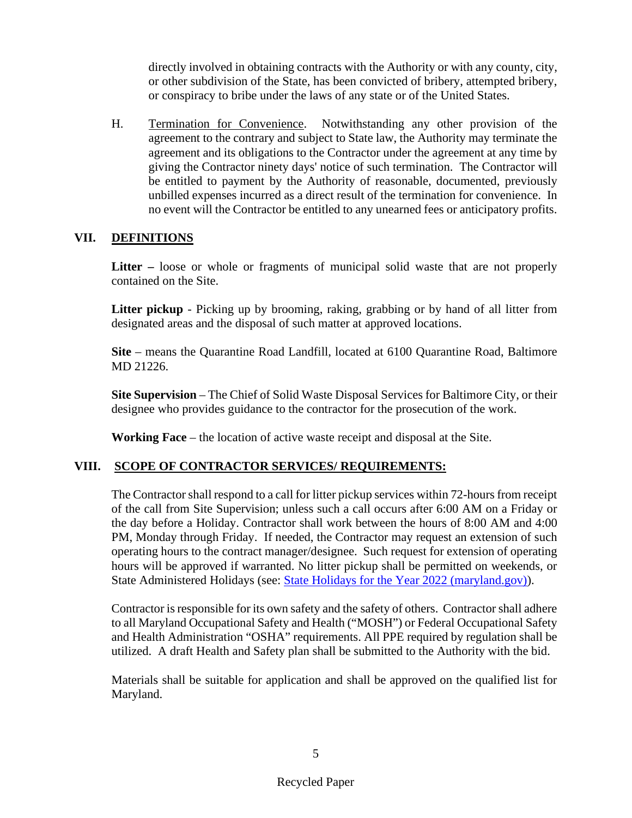directly involved in obtaining contracts with the Authority or with any county, city, or other subdivision of the State, has been convicted of bribery, attempted bribery, or conspiracy to bribe under the laws of any state or of the United States.

H. Termination for Convenience. Notwithstanding any other provision of the agreement to the contrary and subject to State law, the Authority may terminate the agreement and its obligations to the Contractor under the agreement at any time by giving the Contractor ninety days' notice of such termination. The Contractor will be entitled to payment by the Authority of reasonable, documented, previously unbilled expenses incurred as a direct result of the termination for convenience. In no event will the Contractor be entitled to any unearned fees or anticipatory profits.

#### **VII. DEFINITIONS**

**Litter –** loose or whole or fragments of municipal solid waste that are not properly contained on the Site.

Litter pickup - Picking up by brooming, raking, grabbing or by hand of all litter from designated areas and the disposal of such matter at approved locations.

**Site** – means the Quarantine Road Landfill, located at 6100 Quarantine Road, Baltimore MD 21226.

**Site Supervision** – The Chief of Solid Waste Disposal Services for Baltimore City, or their designee who provides guidance to the contractor for the prosecution of the work.

**Working Face** – the location of active waste receipt and disposal at the Site.

## **VIII. SCOPE OF CONTRACTOR SERVICES/ REQUIREMENTS:**

The Contractor shall respond to a call for litter pickup services within 72-hours from receipt of the call from Site Supervision; unless such a call occurs after 6:00 AM on a Friday or the day before a Holiday. Contractor shall work between the hours of 8:00 AM and 4:00 PM, Monday through Friday. If needed, the Contractor may request an extension of such operating hours to the contract manager/designee. Such request for extension of operating hours will be approved if warranted. No litter pickup shall be permitted on weekends, or State Administered Holidays (see: [State Holidays for the Year 2022 \(maryland.gov\)\)](https://dbm.maryland.gov/employees/Pages/StateHolidays2022.aspx).

Contractor is responsible for its own safety and the safety of others. Contractor shall adhere to all Maryland Occupational Safety and Health ("MOSH") or Federal Occupational Safety and Health Administration "OSHA" requirements. All PPE required by regulation shall be utilized. A draft Health and Safety plan shall be submitted to the Authority with the bid.

Materials shall be suitable for application and shall be approved on the qualified list for Maryland.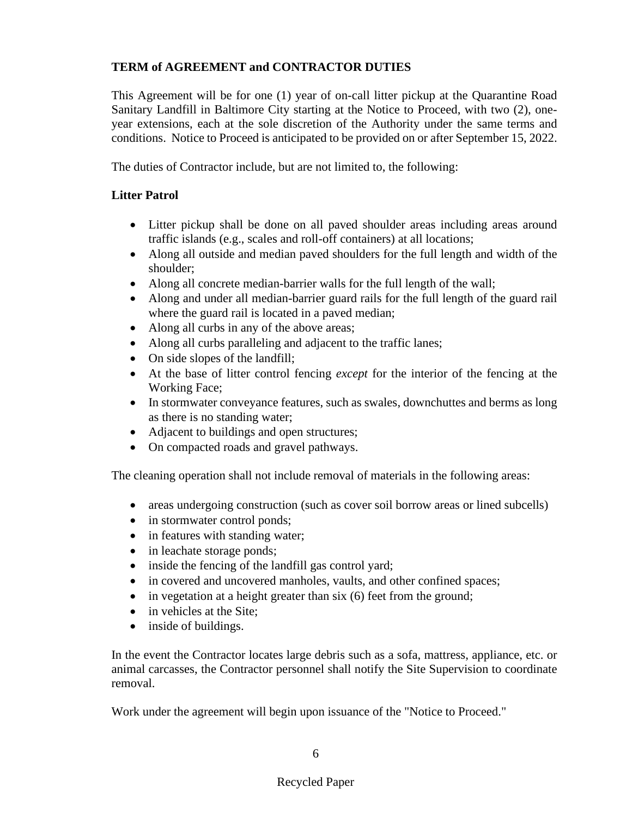## **TERM of AGREEMENT and CONTRACTOR DUTIES**

This Agreement will be for one (1) year of on-call litter pickup at the Quarantine Road Sanitary Landfill in Baltimore City starting at the Notice to Proceed, with two (2), oneyear extensions, each at the sole discretion of the Authority under the same terms and conditions. Notice to Proceed is anticipated to be provided on or after September 15, 2022.

The duties of Contractor include, but are not limited to, the following:

## **Litter Patrol**

- Litter pickup shall be done on all paved shoulder areas including areas around traffic islands (e.g., scales and roll-off containers) at all locations;
- Along all outside and median paved shoulders for the full length and width of the shoulder;
- Along all concrete median-barrier walls for the full length of the wall;
- Along and under all median-barrier guard rails for the full length of the guard rail where the guard rail is located in a paved median;
- Along all curbs in any of the above areas;
- Along all curbs paralleling and adjacent to the traffic lanes;
- On side slopes of the landfill;
- At the base of litter control fencing *except* for the interior of the fencing at the Working Face;
- In stormwater conveyance features, such as swales, downchuttes and berms as long as there is no standing water;
- Adjacent to buildings and open structures;
- On compacted roads and gravel pathways.

The cleaning operation shall not include removal of materials in the following areas:

- areas undergoing construction (such as cover soil borrow areas or lined subcells)
- in stormwater control ponds;
- in features with standing water;
- in leachate storage ponds;
- inside the fencing of the landfill gas control yard;
- in covered and uncovered manholes, vaults, and other confined spaces;
- in vegetation at a height greater than six (6) feet from the ground;
- in vehicles at the Site:
- inside of buildings.

In the event the Contractor locates large debris such as a sofa, mattress, appliance, etc. or animal carcasses, the Contractor personnel shall notify the Site Supervision to coordinate removal.

Work under the agreement will begin upon issuance of the "Notice to Proceed."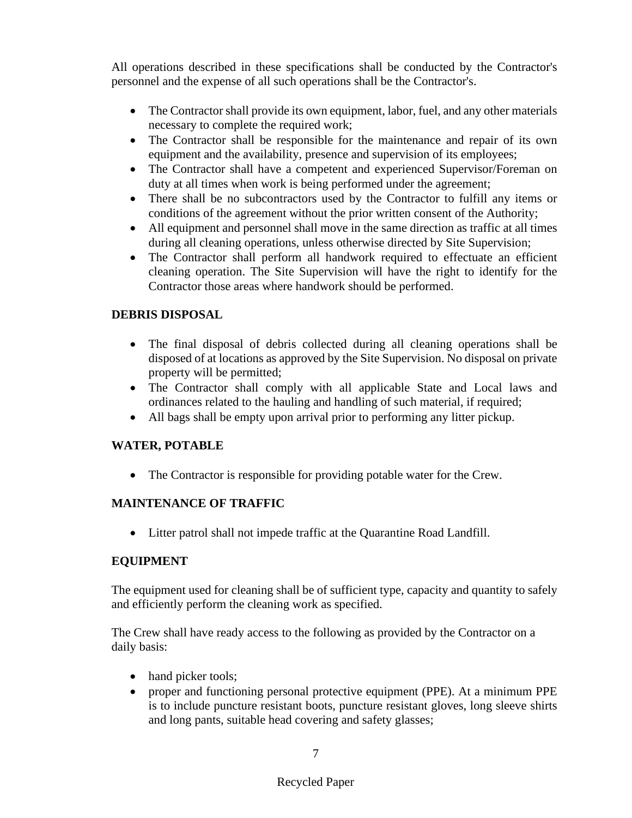All operations described in these specifications shall be conducted by the Contractor's personnel and the expense of all such operations shall be the Contractor's.

- The Contractor shall provide its own equipment, labor, fuel, and any other materials necessary to complete the required work;
- The Contractor shall be responsible for the maintenance and repair of its own equipment and the availability, presence and supervision of its employees;
- The Contractor shall have a competent and experienced Supervisor/Foreman on duty at all times when work is being performed under the agreement;
- There shall be no subcontractors used by the Contractor to fulfill any items or conditions of the agreement without the prior written consent of the Authority;
- All equipment and personnel shall move in the same direction as traffic at all times during all cleaning operations, unless otherwise directed by Site Supervision;
- The Contractor shall perform all handwork required to effectuate an efficient cleaning operation. The Site Supervision will have the right to identify for the Contractor those areas where handwork should be performed.

## **DEBRIS DISPOSAL**

- The final disposal of debris collected during all cleaning operations shall be disposed of at locations as approved by the Site Supervision. No disposal on private property will be permitted;
- The Contractor shall comply with all applicable State and Local laws and ordinances related to the hauling and handling of such material, if required;
- All bags shall be empty upon arrival prior to performing any litter pickup.

## **WATER, POTABLE**

• The Contractor is responsible for providing potable water for the Crew.

## **MAINTENANCE OF TRAFFIC**

• Litter patrol shall not impede traffic at the Quarantine Road Landfill.

## **EQUIPMENT**

The equipment used for cleaning shall be of sufficient type, capacity and quantity to safely and efficiently perform the cleaning work as specified.

The Crew shall have ready access to the following as provided by the Contractor on a daily basis:

- hand picker tools;
- proper and functioning personal protective equipment (PPE). At a minimum PPE is to include puncture resistant boots, puncture resistant gloves, long sleeve shirts and long pants, suitable head covering and safety glasses;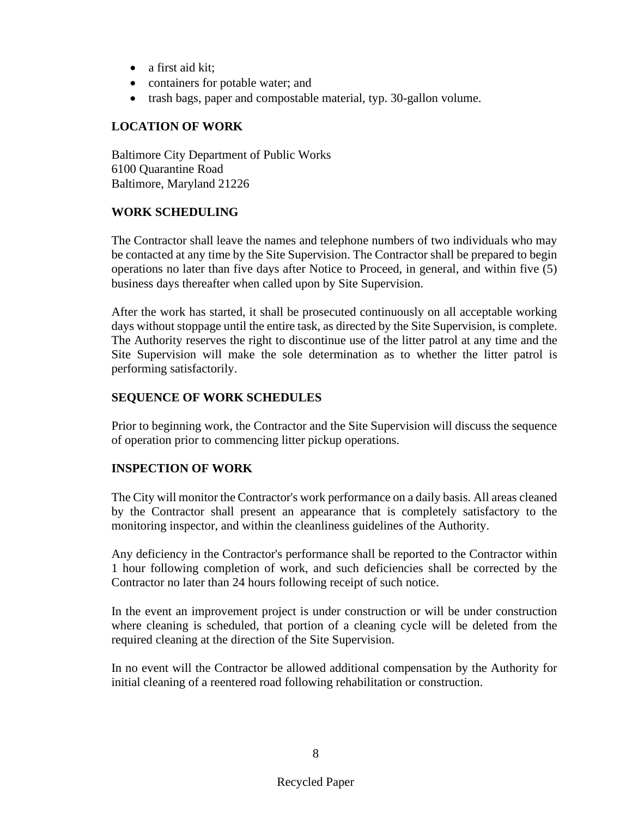- a first aid kit:
- containers for potable water; and
- trash bags, paper and compostable material, typ. 30-gallon volume.

#### **LOCATION OF WORK**

Baltimore City Department of Public Works 6100 Quarantine Road Baltimore, Maryland 21226

#### **WORK SCHEDULING**

The Contractor shall leave the names and telephone numbers of two individuals who may be contacted at any time by the Site Supervision. The Contractor shall be prepared to begin operations no later than five days after Notice to Proceed, in general, and within five (5) business days thereafter when called upon by Site Supervision.

After the work has started, it shall be prosecuted continuously on all acceptable working days without stoppage until the entire task, as directed by the Site Supervision, is complete. The Authority reserves the right to discontinue use of the litter patrol at any time and the Site Supervision will make the sole determination as to whether the litter patrol is performing satisfactorily.

#### **SEQUENCE OF WORK SCHEDULES**

Prior to beginning work, the Contractor and the Site Supervision will discuss the sequence of operation prior to commencing litter pickup operations.

## **INSPECTION OF WORK**

The City will monitor the Contractor's work performance on a daily basis. All areas cleaned by the Contractor shall present an appearance that is completely satisfactory to the monitoring inspector, and within the cleanliness guidelines of the Authority.

Any deficiency in the Contractor's performance shall be reported to the Contractor within 1 hour following completion of work, and such deficiencies shall be corrected by the Contractor no later than 24 hours following receipt of such notice.

In the event an improvement project is under construction or will be under construction where cleaning is scheduled, that portion of a cleaning cycle will be deleted from the required cleaning at the direction of the Site Supervision.

In no event will the Contractor be allowed additional compensation by the Authority for initial cleaning of a reentered road following rehabilitation or construction.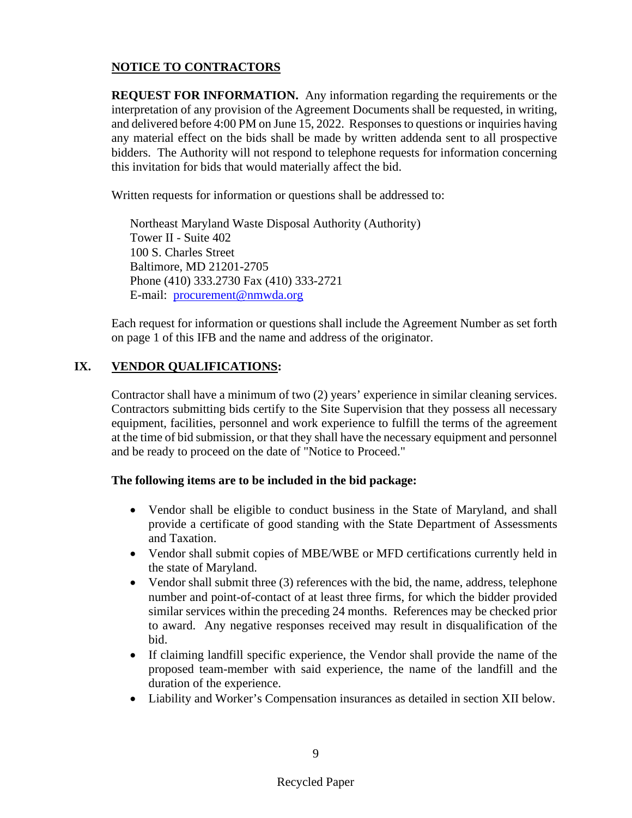## **NOTICE TO CONTRACTORS**

**REQUEST FOR INFORMATION.** Any information regarding the requirements or the interpretation of any provision of the Agreement Documents shall be requested, in writing, and delivered before 4:00 PM on June 15, 2022. Responses to questions or inquiries having any material effect on the bids shall be made by written addenda sent to all prospective bidders. The Authority will not respond to telephone requests for information concerning this invitation for bids that would materially affect the bid.

Written requests for information or questions shall be addressed to:

Northeast Maryland Waste Disposal Authority (Authority) Tower II - Suite 402 100 S. Charles Street Baltimore, MD 21201-2705 Phone (410) 333.2730 Fax (410) 333-2721 E-mail: [procurement@nmwda.org](mailto:procurement@nmwda.org)

Each request for information or questions shall include the Agreement Number as set forth on page 1 of this IFB and the name and address of the originator.

## **IX. VENDOR QUALIFICATIONS:**

Contractor shall have a minimum of two (2) years' experience in similar cleaning services. Contractors submitting bids certify to the Site Supervision that they possess all necessary equipment, facilities, personnel and work experience to fulfill the terms of the agreement at the time of bid submission, or that they shall have the necessary equipment and personnel and be ready to proceed on the date of "Notice to Proceed."

#### **The following items are to be included in the bid package:**

- Vendor shall be eligible to conduct business in the State of Maryland, and shall provide a certificate of good standing with the State Department of Assessments and Taxation.
- Vendor shall submit copies of MBE/WBE or MFD certifications currently held in the state of Maryland.
- Vendor shall submit three (3) references with the bid, the name, address, telephone number and point-of-contact of at least three firms, for which the bidder provided similar services within the preceding 24 months. References may be checked prior to award. Any negative responses received may result in disqualification of the bid.
- If claiming landfill specific experience, the Vendor shall provide the name of the proposed team-member with said experience, the name of the landfill and the duration of the experience.
- Liability and Worker's Compensation insurances as detailed in section XII below.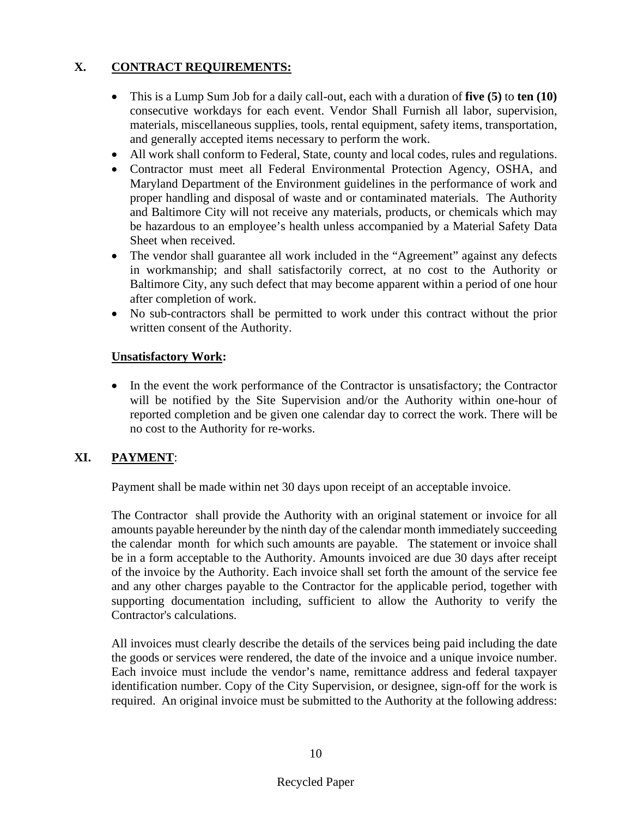## **X. CONTRACT REQUIREMENTS:**

- This is a Lump Sum Job for a daily call-out, each with a duration of **five (5)** to **ten (10)** consecutive workdays for each event. Vendor Shall Furnish all labor, supervision, materials, miscellaneous supplies, tools, rental equipment, safety items, transportation, and generally accepted items necessary to perform the work.
- All work shall conform to Federal, State, county and local codes, rules and regulations.
- Contractor must meet all Federal Environmental Protection Agency, OSHA, and Maryland Department of the Environment guidelines in the performance of work and proper handling and disposal of waste and or contaminated materials. The Authority and Baltimore City will not receive any materials, products, or chemicals which may be hazardous to an employee's health unless accompanied by a Material Safety Data Sheet when received.
- The vendor shall guarantee all work included in the "Agreement" against any defects in workmanship; and shall satisfactorily correct, at no cost to the Authority or Baltimore City, any such defect that may become apparent within a period of one hour after completion of work.
- No sub-contractors shall be permitted to work under this contract without the prior written consent of the Authority.

#### **Unsatisfactory Work:**

• In the event the work performance of the Contractor is unsatisfactory; the Contractor will be notified by the Site Supervision and/or the Authority within one-hour of reported completion and be given one calendar day to correct the work. There will be no cost to the Authority for re-works.

## **XI. PAYMENT**:

Payment shall be made within net 30 days upon receipt of an acceptable invoice.

The Contractor shall provide the Authority with an original statement or invoice for all amounts payable hereunder by the ninth day of the calendar month immediately succeeding the calendar month for which such amounts are payable. The statement or invoice shall be in a form acceptable to the Authority. Amounts invoiced are due 30 days after receipt of the invoice by the Authority. Each invoice shall set forth the amount of the service fee and any other charges payable to the Contractor for the applicable period, together with supporting documentation including, sufficient to allow the Authority to verify the Contractor's calculations.

All invoices must clearly describe the details of the services being paid including the date the goods or services were rendered, the date of the invoice and a unique invoice number. Each invoice must include the vendor's name, remittance address and federal taxpayer identification number. Copy of the City Supervision, or designee, sign-off for the work is required. An original invoice must be submitted to the Authority at the following address: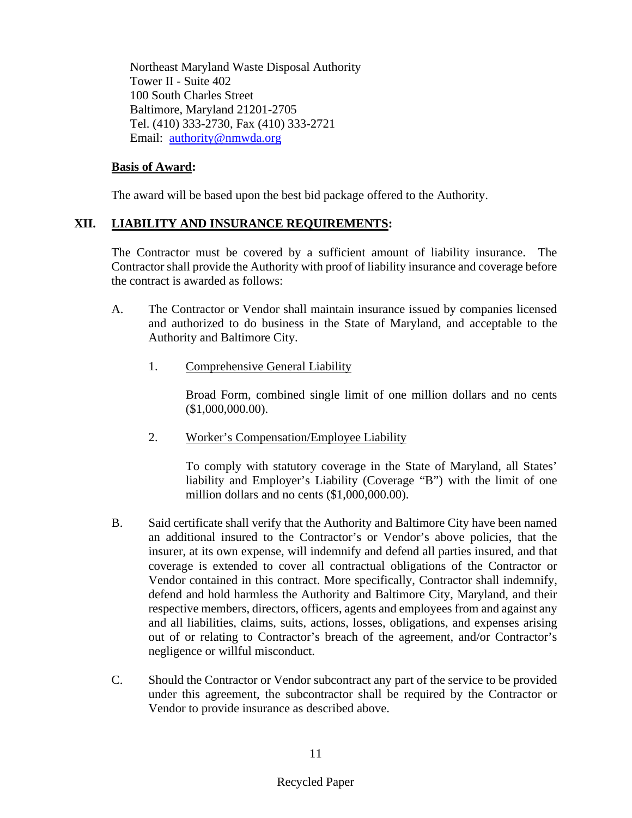Northeast Maryland Waste Disposal Authority Tower II - Suite 402 100 South Charles Street Baltimore, Maryland 21201-2705 Tel. (410) 333-2730, Fax (410) 333-2721 Email: [authority@nmwda.org](mailto:authority@nmwda.org)

#### **Basis of Award:**

The award will be based upon the best bid package offered to the Authority.

## **XII. LIABILITY AND INSURANCE REQUIREMENTS:**

The Contractor must be covered by a sufficient amount of liability insurance. The Contractor shall provide the Authority with proof of liability insurance and coverage before the contract is awarded as follows:

- A. The Contractor or Vendor shall maintain insurance issued by companies licensed and authorized to do business in the State of Maryland, and acceptable to the Authority and Baltimore City.
	- 1. Comprehensive General Liability

Broad Form, combined single limit of one million dollars and no cents (\$1,000,000.00).

2. Worker's Compensation/Employee Liability

To comply with statutory coverage in the State of Maryland, all States' liability and Employer's Liability (Coverage "B") with the limit of one million dollars and no cents (\$1,000,000.00).

- B. Said certificate shall verify that the Authority and Baltimore City have been named an additional insured to the Contractor's or Vendor's above policies, that the insurer, at its own expense, will indemnify and defend all parties insured, and that coverage is extended to cover all contractual obligations of the Contractor or Vendor contained in this contract. More specifically, Contractor shall indemnify, defend and hold harmless the Authority and Baltimore City, Maryland, and their respective members, directors, officers, agents and employees from and against any and all liabilities, claims, suits, actions, losses, obligations, and expenses arising out of or relating to Contractor's breach of the agreement, and/or Contractor's negligence or willful misconduct.
- C. Should the Contractor or Vendor subcontract any part of the service to be provided under this agreement, the subcontractor shall be required by the Contractor or Vendor to provide insurance as described above.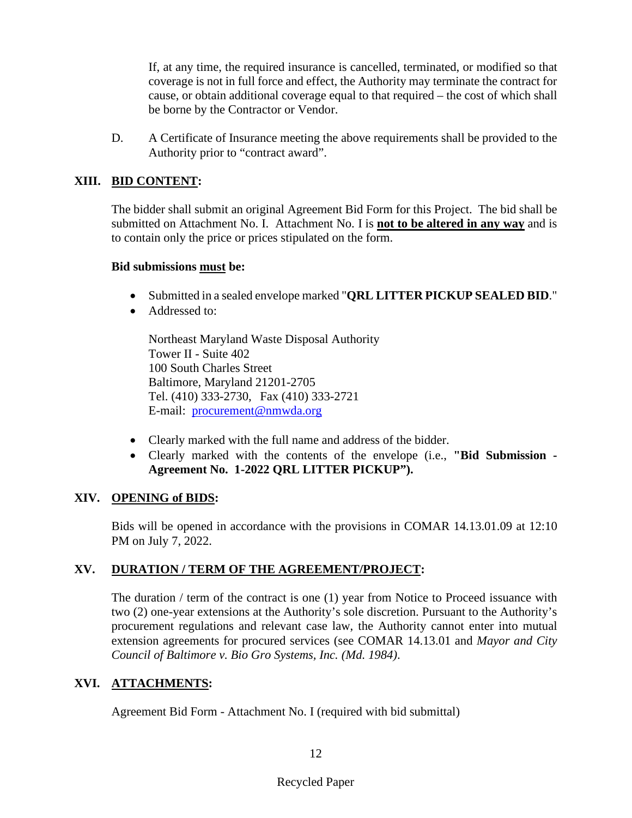If, at any time, the required insurance is cancelled, terminated, or modified so that coverage is not in full force and effect, the Authority may terminate the contract for cause, or obtain additional coverage equal to that required – the cost of which shall be borne by the Contractor or Vendor.

D. A Certificate of Insurance meeting the above requirements shall be provided to the Authority prior to "contract award".

#### **XIII. BID CONTENT:**

The bidder shall submit an original Agreement Bid Form for this Project. The bid shall be submitted on Attachment No. I. Attachment No. I is **not to be altered in any way** and is to contain only the price or prices stipulated on the form.

#### **Bid submissions must be:**

- Submitted in a sealed envelope marked "**QRL LITTER PICKUP SEALED BID**."
- Addressed to:

Northeast Maryland Waste Disposal Authority Tower II - Suite 402 100 South Charles Street Baltimore, Maryland 21201-2705 Tel. (410) 333-2730, Fax (410) 333-2721 E-mail: [procurement@nmwda.org](mailto:procurement@nmwda.org)

- Clearly marked with the full name and address of the bidder.
- Clearly marked with the contents of the envelope (i.e., **"Bid Submission - Agreement No. 1-2022 QRL LITTER PICKUP").**

#### **XIV. OPENING of BIDS:**

Bids will be opened in accordance with the provisions in COMAR 14.13.01.09 at 12:10 PM on July 7, 2022.

#### **XV. DURATION / TERM OF THE AGREEMENT/PROJECT:**

The duration / term of the contract is one (1) year from Notice to Proceed issuance with two (2) one-year extensions at the Authority's sole discretion. Pursuant to the Authority's procurement regulations and relevant case law, the Authority cannot enter into mutual extension agreements for procured services (see COMAR 14.13.01 and *Mayor and City Council of Baltimore v. Bio Gro Systems, Inc. (Md. 1984)*.

## **XVI. ATTACHMENTS:**

Agreement Bid Form - Attachment No. I (required with bid submittal)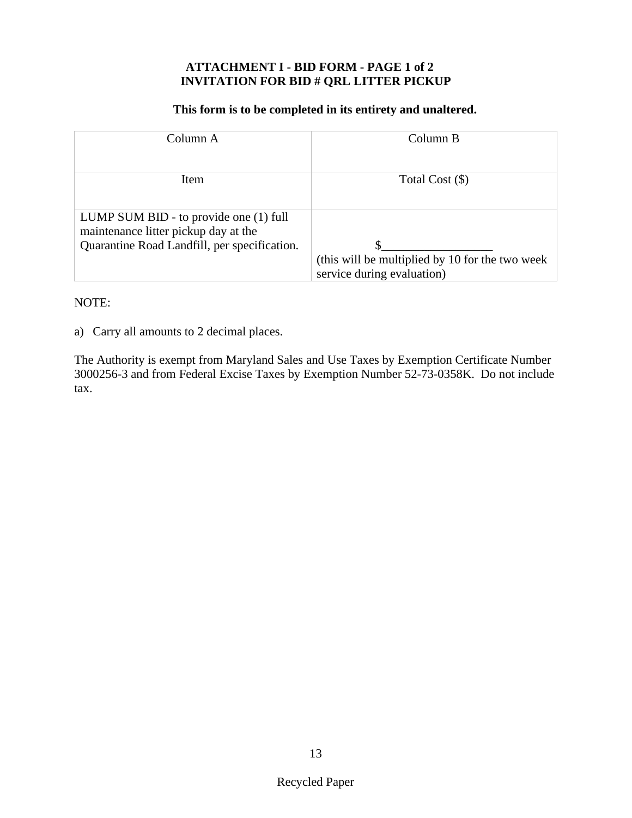#### **ATTACHMENT I - BID FORM - PAGE 1 of 2 INVITATION FOR BID # QRL LITTER PICKUP**

#### **This form is to be completed in its entirety and unaltered.**

| Column A                                                                                                                       | Column B                                                                       |
|--------------------------------------------------------------------------------------------------------------------------------|--------------------------------------------------------------------------------|
| Item                                                                                                                           | Total Cost (\$)                                                                |
| LUMP SUM BID - to provide one (1) full<br>maintenance litter pickup day at the<br>Quarantine Road Landfill, per specification. | (this will be multiplied by 10 for the two week)<br>service during evaluation) |

#### NOTE:

a) Carry all amounts to 2 decimal places.

The Authority is exempt from Maryland Sales and Use Taxes by Exemption Certificate Number 3000256-3 and from Federal Excise Taxes by Exemption Number 52-73-0358K. Do not include tax.